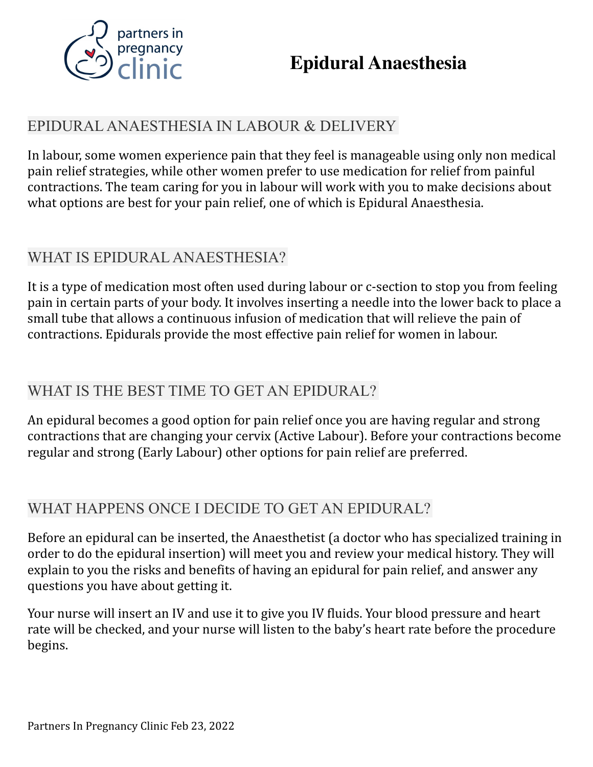

## EPIDURAL ANAESTHESIA IN LABOUR & DELIVERY

In labour, some women experience pain that they feel is manageable using only non medical pain relief strategies, while other women prefer to use medication for relief from painful contractions. The team caring for you in labour will work with you to make decisions about what options are best for your pain relief, one of which is Epidural Anaesthesia.

## WHAT IS EPIDURAL ANAESTHESIA?

It is a type of medication most often used during labour or c-section to stop you from feeling pain in certain parts of your body. It involves inserting a needle into the lower back to place a small tube that allows a continuous infusion of medication that will relieve the pain of contractions. Epidurals provide the most effective pain relief for women in labour.

## WHAT IS THE BEST TIME TO GET AN EPIDURAL?

An epidural becomes a good option for pain relief once you are having regular and strong contractions that are changing your cervix (Active Labour). Before your contractions become regular and strong (Early Labour) other options for pain relief are preferred.

## WHAT HAPPENS ONCE I DECIDE TO GET AN EPIDURAL?

Before an epidural can be inserted, the Anaesthetist (a doctor who has specialized training in order to do the epidural insertion) will meet you and review your medical history. They will explain to you the risks and benefits of having an epidural for pain relief, and answer any questions you have about getting it.

Your nurse will insert an IV and use it to give you IV fluids. Your blood pressure and heart rate will be checked, and your nurse will listen to the baby's heart rate before the procedure begins.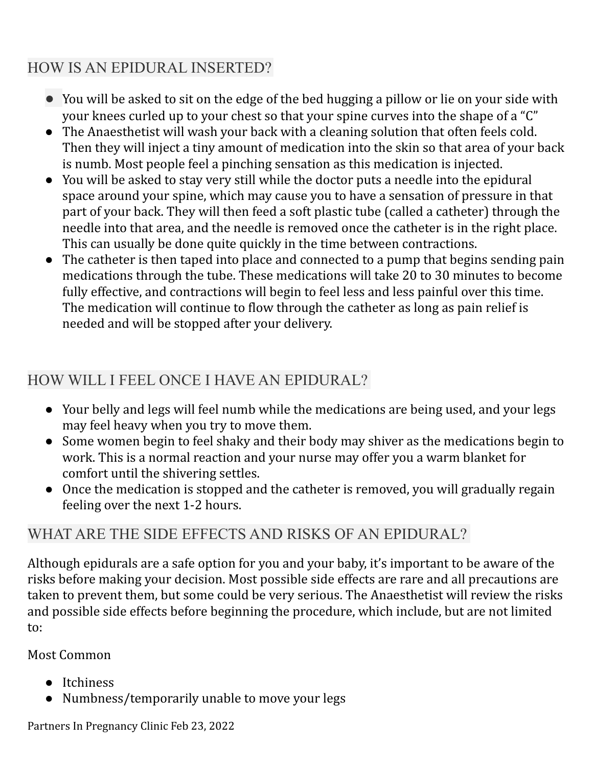# HOW IS AN EPIDURAL INSERTED?

- You will be asked to sit on the edge of the bed hugging a pillow or lie on your side with your knees curled up to your chest so that your spine curves into the shape of a "C"
- The Anaesthetist will wash your back with a cleaning solution that often feels cold. Then they will inject a tiny amount of medication into the skin so that area of your back is numb. Most people feel a pinching sensation as this medication is injected.
- You will be asked to stay very still while the doctor puts a needle into the epidural space around your spine, which may cause you to have a sensation of pressure in that part of your back. They will then feed a soft plastic tube (called a catheter) through the needle into that area, and the needle is removed once the catheter is in the right place. This can usually be done quite quickly in the time between contractions.
- The catheter is then taped into place and connected to a pump that begins sending pain medications through the tube. These medications will take 20 to 30 minutes to become fully effective, and contractions will begin to feel less and less painful over this time. The medication will continue to flow through the catheter as long as pain relief is needed and will be stopped after your delivery.

# HOW WILL I FEEL ONCE I HAVE AN EPIDURAL?

- Your belly and legs will feel numb while the medications are being used, and your legs may feel heavy when you try to move them.
- Some women begin to feel shaky and their body may shiver as the medications begin to work. This is a normal reaction and your nurse may offer you a warm blanket for comfort until the shivering settles.
- Once the medication is stopped and the catheter is removed, you will gradually regain feeling over the next 1-2 hours.

# WHAT ARE THE SIDE EFFECTS AND RISKS OF AN EPIDURAL?

Although epidurals are a safe option for you and your baby, it's important to be aware of the risks before making your decision. Most possible side effects are rare and all precautions are taken to prevent them, but some could be very serious. The Anaesthetist will review the risks and possible side effects before beginning the procedure, which include, but are not limited to:

### Most Common

- Itchiness
- Numbness/temporarily unable to move your legs

Partners In Pregnancy Clinic Feb 23, 2022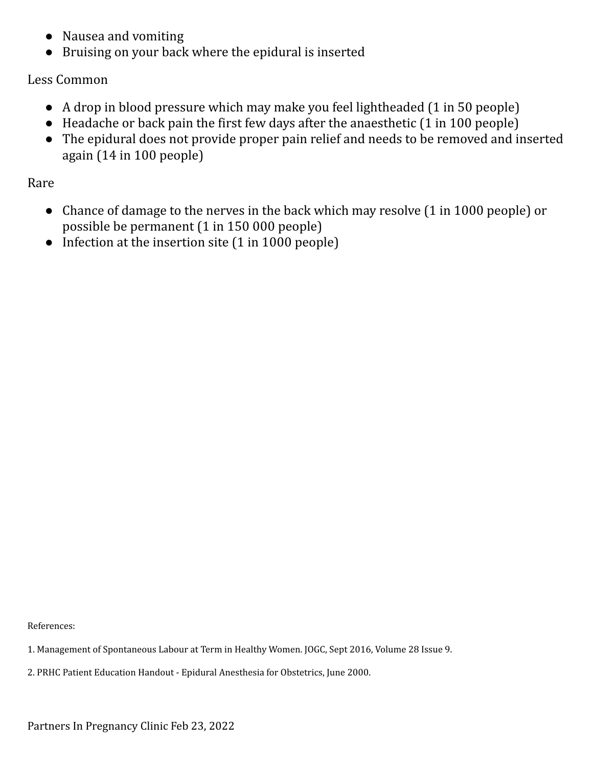- Nausea and vomiting
- Bruising on your back where the epidural is inserted

#### Less Common

- A drop in blood pressure which may make you feel lightheaded (1 in 50 people)
- Headache or back pain the first few days after the anaesthetic (1 in 100 people)
- The epidural does not provide proper pain relief and needs to be removed and inserted again (14 in 100 people)

Rare

- Chance of damage to the nerves in the back which may resolve (1 in 1000 people) or possible be permanent (1 in 150 000 people)
- Infection at the insertion site (1 in 1000 people)

References:

- 1. Management of Spontaneous Labour at Term in Healthy Women. JOGC, Sept 2016, Volume 28 Issue 9.
- 2. PRHC Patient Education Handout Epidural Anesthesia for Obstetrics, June 2000.